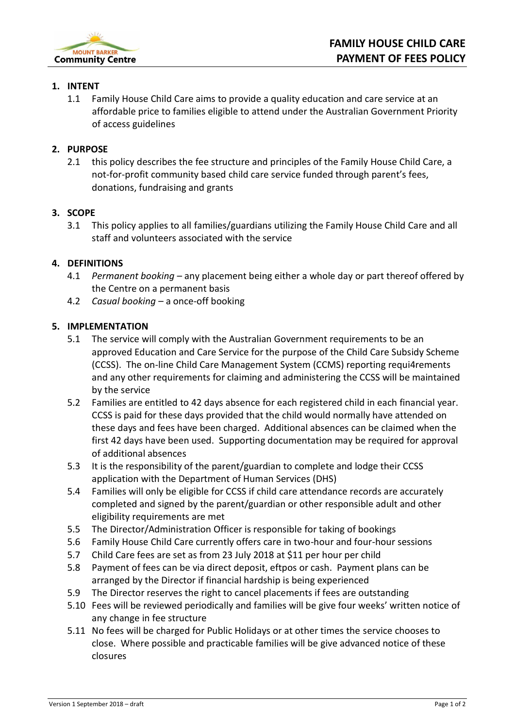

#### **1. INTENT**

1.1 Family House Child Care aims to provide a quality education and care service at an affordable price to families eligible to attend under the Australian Government Priority of access guidelines

## **2. PURPOSE**

2.1 this policy describes the fee structure and principles of the Family House Child Care, a not-for-profit community based child care service funded through parent's fees, donations, fundraising and grants

#### **3. SCOPE**

3.1 This policy applies to all families/guardians utilizing the Family House Child Care and all staff and volunteers associated with the service

## **4. DEFINITIONS**

- 4.1 *Permanent booking* any placement being either a whole day or part thereof offered by the Centre on a permanent basis
- 4.2 *Casual booking –* a once-off booking

## **5. IMPLEMENTATION**

- 5.1 The service will comply with the Australian Government requirements to be an approved Education and Care Service for the purpose of the Child Care Subsidy Scheme (CCSS). The on-line Child Care Management System (CCMS) reporting requi4rements and any other requirements for claiming and administering the CCSS will be maintained by the service
- 5.2 Families are entitled to 42 days absence for each registered child in each financial year. CCSS is paid for these days provided that the child would normally have attended on these days and fees have been charged. Additional absences can be claimed when the first 42 days have been used. Supporting documentation may be required for approval of additional absences
- 5.3 It is the responsibility of the parent/guardian to complete and lodge their CCSS application with the Department of Human Services (DHS)
- 5.4 Families will only be eligible for CCSS if child care attendance records are accurately completed and signed by the parent/guardian or other responsible adult and other eligibility requirements are met
- 5.5 The Director/Administration Officer is responsible for taking of bookings
- 5.6 Family House Child Care currently offers care in two-hour and four-hour sessions
- 5.7 Child Care fees are set as from 23 July 2018 at \$11 per hour per child
- 5.8 Payment of fees can be via direct deposit, eftpos or cash. Payment plans can be arranged by the Director if financial hardship is being experienced
- 5.9 The Director reserves the right to cancel placements if fees are outstanding
- 5.10 Fees will be reviewed periodically and families will be give four weeks' written notice of any change in fee structure
- 5.11 No fees will be charged for Public Holidays or at other times the service chooses to close. Where possible and practicable families will be give advanced notice of these closures